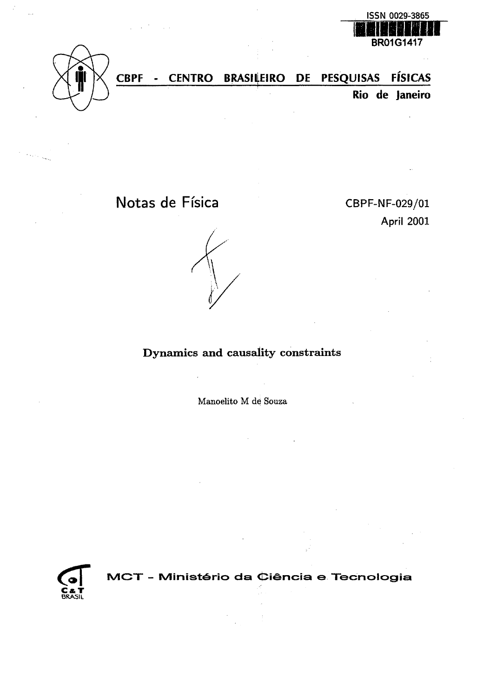



 $\epsilon_{\rm 3000}$ 

**CBPF - CENTRO BRASILEIRO PE PESQUISAS FISICAS Rio de Janeiro**

Notas de Física CBPF-NF-029/01

**April 2001**



Dynamics and causality constraints

Manoelito M de Souza



**1VICT - IS/Iinist^rio da Ciencia e Tecnologia**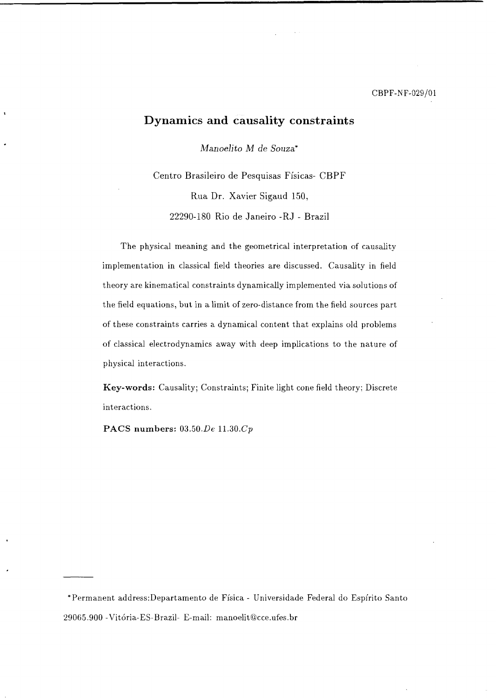# Dynamics and causality constraints

*Manoelito M de Souza\**

Centro Brasileiro de Pesquisas Fisicas- CBPF Rua Dr. Xavier Sigaud 150, 22290-180 Rio de Janeiro -RJ - Brazil

The physical meaning and the geometrical interpretation of causality implementation in classical field theories are discussed. Causality in field theory are kinematical constraints dynamically implemented via solutions of the field equations, but in a limit of zero-distance from the field sources part of these constraints carries a dynamical content that explains old problems of classical electrodynamics away with deep implications to the nature of physical interactions.

**Key-words:** Causality; Constraints; Finite light cone field theory; Discrete interactions.

**PACS numbers:** 03.50.*De* 11.30.*Cp*

\*Permanent address:Departamento de Fisica - Universidade Federal do Espfrito Santo 29065.900 -Vitoria-ES-Brazil- E-mail: manoelit@cce.ufes.br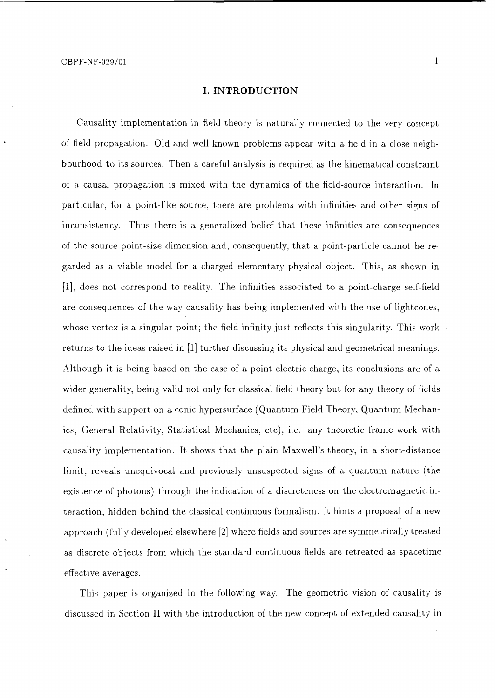#### **I. INTRODUCTION**

Causality implementation in field theory is naturally connected to the very concept of field propagation. Old and well known problems appear with a field in a close neighbourhood to its sources. Then a careful analysis is required as the kinematical constraint of a causal propagation is mixed with the dynamics of the field-source interaction. In particular, for a point-like source, there are problems with infinities and other signs of inconsistency. Thus there is a generalized belief that these infinities are consequences of the source point-size dimension and, consequently, that a point-particle cannot be regarded as a viable model for a charged elementary physical object. This, as shown in [1], does not correspond to reality. The infinities associated to a point-charge self-field are consequences of the way causality has being implemented with the use of lightcones, whose vertex is a singular point; the field infinity just reflects this singularity. This work returns to the ideas raised in [1] further discussing its physical and geometrical meanings. Although it is being based on the case of a point electric charge, its conclusions are of a wider generality, being valid not only for classical field theory but for any theory of fields defined with support on a conic hypersurface (Quantum Field Theory, Quantum Mechanics, General Relativity, Statistical Mechanics, etc), i.e. any theoretic frame work with causality implementation. It shows that the plain Maxwell's theory, in a short-distance limit, reveals unequivocal and previously unsuspected signs of a quantum nature (the existence of photons) through the indication of a discreteness on the electromagnetic interaction, hidden behind the classical continuous formalism. It hints a proposal of a new approach (fully developed elsewhere [2] where fields and sources are symmetrically treated as discrete objects from which the standard continuous fields are retreated as spacetime effective averages.

This paper is organized in the following way. The geometric vision of causality is discussed in Section II with the introduction of the new concept of extended causality in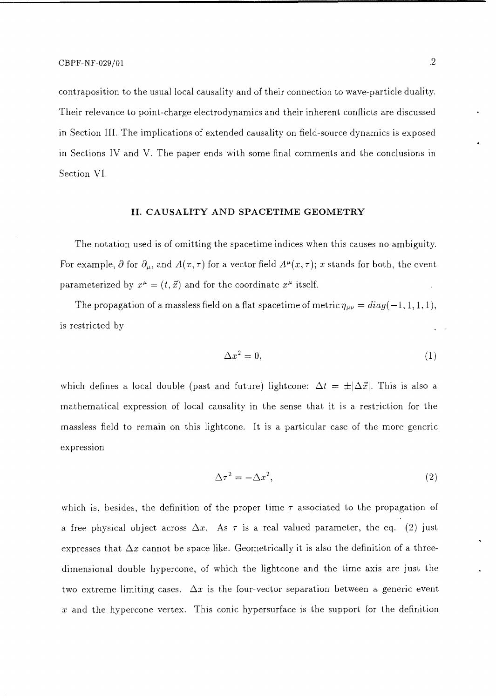contraposition to the usual local causality and of their connection to wave-particle duality. Their relevance to point-charge electrodynamics and their inherent conflicts are discussed in Section III. The implications of extended causality on field-source dynamics is exposed in Sections IV and V. The paper ends with some final comments and the conclusions in Section VI.

### II. CAUSALITY AND SPACETIME GEOMETRY

The notation used is of omitting the spacetime indices when this causes no ambiguity. For example,  $\partial$  for  $\partial_{\mu}$ , and  $A(x, \tau)$  for a vector field  $A^{\mu}(x, \tau)$ ; x stands for both, the event parameterized by  $x^{\mu} = (t, \vec{x})$  and for the coordinate  $x^{\mu}$  itself.

The propagation of a massless field on a flat spacetime of metric  $\eta_{\mu\nu} = diag(-1,1,1,1),$ is restricted by

$$
\Delta x^2 = 0,\tag{1}
$$

which defines a local double (past and future) lightcone:  $\Delta t = \pm |\Delta \vec{x}|$ . This is also a mathematical expression of local causality in the sense that it is a restriction for the massless field to remain on this lightcone. It is a particular case of the more generic expression

$$
\Delta \tau^2 = -\Delta x^2,\tag{2}
$$

which is, besides, the definition of the proper time  $\tau$  associated to the propagation of a free physical object across  $\Delta x$ . As  $\tau$  is a real valued parameter, the eq. (2) just expresses that  $\Delta x$  cannot be space like. Geometrically it is also the definition of a threedimensional double hypercone, of which the lightcone and the time axis are just the two extreme limiting cases.  $\Delta x$  is the four-vector separation between a generic event  $x$  and the hypercone vertex. This conic hypersurface is the support for the definition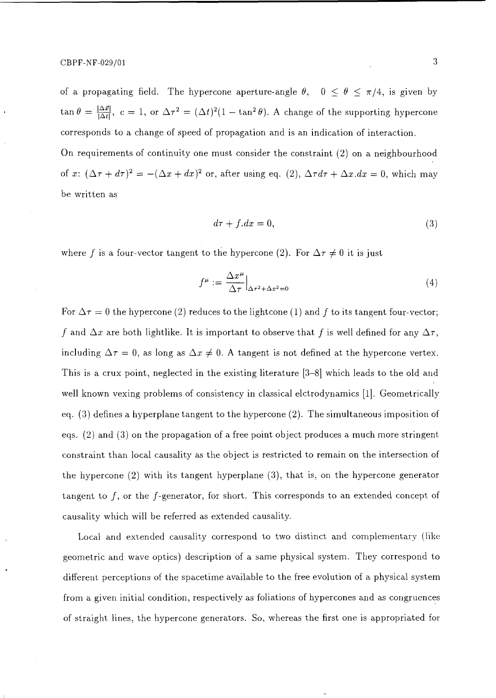of a propagating field. The hypercone aperture-angle  $\theta$ ,  $0 \le \theta \le \pi/4$ , is given by  $\tan \theta = \frac{|\Delta \vec{x}|}{|\Delta t|}, c = 1$ , or  $\Delta \tau^2 = (\Delta t)^2 (1 - \tan^2 \theta)$ . A change of the supporting hypercone corresponds to a change of speed of propagation and is an indication of interaction.

On requirements of continuity one must consider the constraint (2) on a neighbourhood of x:  $(\Delta \tau + d\tau)^2 = -(\Delta x + dx)^2$  or, after using eq. (2),  $\Delta \tau d\tau + \Delta x.dx = 0$ , which may be written as

$$
d\tau + f \cdot dx = 0,\tag{3}
$$

where f is a four-vector tangent to the hypercone (2). For  $\Delta \tau \neq 0$  it is just

$$
f^{\mu} := \frac{\Delta x^{\mu}}{\Delta \tau} \Big|_{\Delta \tau^2 + \Delta x^2 = 0} \tag{4}
$$

For  $\Delta \tau = 0$  the hypercone (2) reduces to the lightcone (1) and f to its tangent four-vector; f and  $\Delta x$  are both lightlike. It is important to observe that f is well defined for any  $\Delta \tau$ , including  $\Delta \tau = 0$ , as long as  $\Delta x \neq 0$ . A tangent is not defined at the hypercone vertex. This is a crux point, neglected in the existing literature [3-8] which leads to the old and well known vexing problems of consistency in classical elctrodynamics [1]. Geometrically eq. (3) defines a hyperplane tangent to the hypercone (2). The simultaneous imposition of eqs. (2) and (3) on the propagation of a free point object produces a much more stringent constraint than local causality as the object is restricted to remain on the intersection of the hypercone (2) with its tangent hyperplane (3), that is, on the hypercone generator tangent to  $f$ , or the  $f$ -generator, for short. This corresponds to an extended concept of causality which will be referred as extended causality.

Local and extended causality correspond to two distinct and complementary (like geometric and wave optics) description of a same physical system. They correspond to different perceptions of the spacetime available to the free evolution of a physical system from a given initial condition, respectively as foliations of hypercones and as congruences of straight lines, the hypercone generators. So, whereas the first one is appropriated for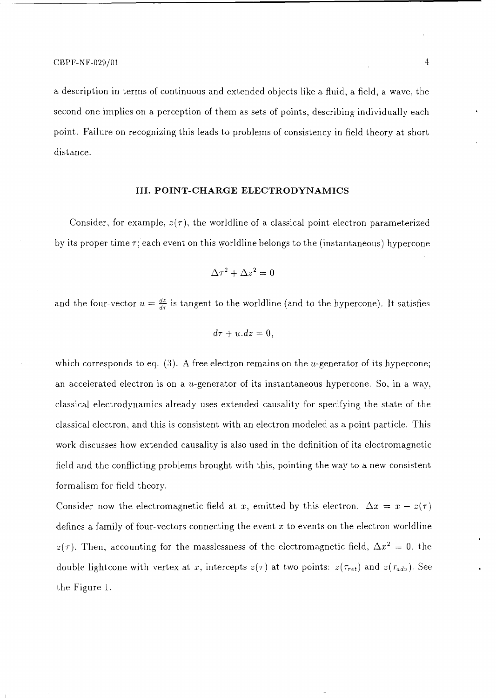a description in terms of continuous and extended objects like a fluid, a field, a. wave, the second one implies on a perception of them as sets of points, describing individually each point. Failure on recognizing this leads to problems of consistency in field theory at short distance.

### **III. POINT-CHARGE ELECTRODYNAMICS**

Consider, for example,  $z(\tau)$ , the worldline of a classical point electron parameterized by its proper time  $\tau$ ; each event on this worldline belongs to the (instantaneous) hypercone

$$
\Delta \tau^2 + \Delta z^2 = 0
$$

and the four-vector  $u = \frac{dz}{dr}$  is tangent to the worldline (and to the hypercone). It satisfies

$$
d\tau + u.dz = 0,
$$

which corresponds to eq.  $(3)$ . A free electron remains on the *u*-generator of its hypercone; an accelerated electron is on a  $u$ -generator of its instantaneous hypercone. So, in a way, classical electrodynamics already uses extended causality for specifying the state of the classical electron, and this is consistent with an electron modeled as a point particle. This work discusses how extended causality is also used in the definition of its electromagnetic field and the conflicting problems brought with this, pointing the way to a new consistent formalism for field theory.

Consider now the electromagnetic field at x, emitted by this electron.  $\Delta x = x - z(\tau)$ defines a family of four-vectors connecting the event *x* to events on the electron worldline  $z(\tau)$ . Then, accounting for the masslessness of the electromagnetic field,  $\Delta x^2 = 0$ , the double lightcone with vertex at x, intercepts  $z(\tau)$  at two points:  $z(\tau_{ret})$  and  $z(\tau_{adv})$ . See the Figure i.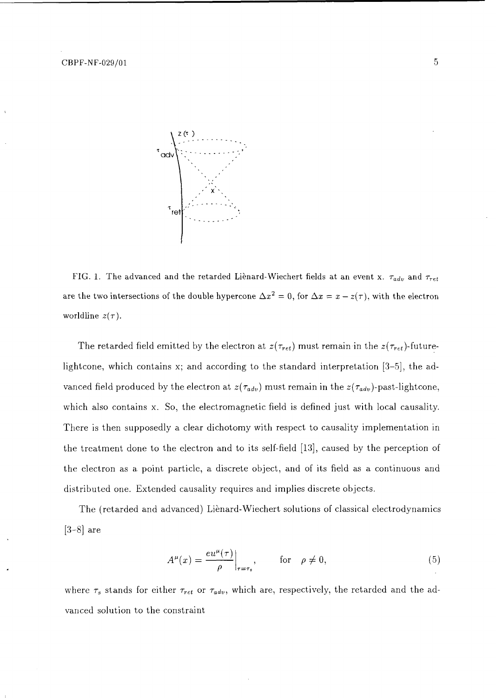

FIG. 1. The advanced and the retarded Lienard-Wiechert fields at an event x.  $\tau_{adv}$  and  $\tau_{ret}$ are the two intersections of the double hypercone  $\Delta x^2=0,$  for  $\Delta x=x-z(\tau),$  with the electron worldline  $z(\tau)$ .

The retarded field emitted by the electron at  $z(\tau_{ret})$  must remain in the  $z(\tau_{ret})$ -futurelightcone, which contains x; and according to the standard interpretation [3-5], the advanced field produced by the electron at  $z(\tau_{adv})$  must remain in the  $z(\tau_{adv})$ -past-lightcone, which also contains x. So, the electromagnetic field is defined just with local causality. There is then supposedly a clear dichotomy with respect to causality implementation in the treatment done to the electron and to its self-field [13], caused by the perception of the electron as a point particle, a discrete object, and of its field as a continuous and distributed one. Extended causality requires and implies discrete objects.

The (retarded and advanced) Lienard-Wiechert solutions of classical electrodynamics  $[3-8]$  are

$$
A^{\mu}(x) = \frac{eu^{\mu}(\tau)}{\rho}\Big|_{\tau = \tau_s}, \quad \text{for} \quad \rho \neq 0,
$$
 (5)

where  $\tau_s$  stands for either  $\tau_{ret}$  or  $\tau_{adv}$ , which are, respectively, the retarded and the advanced solution to the constraint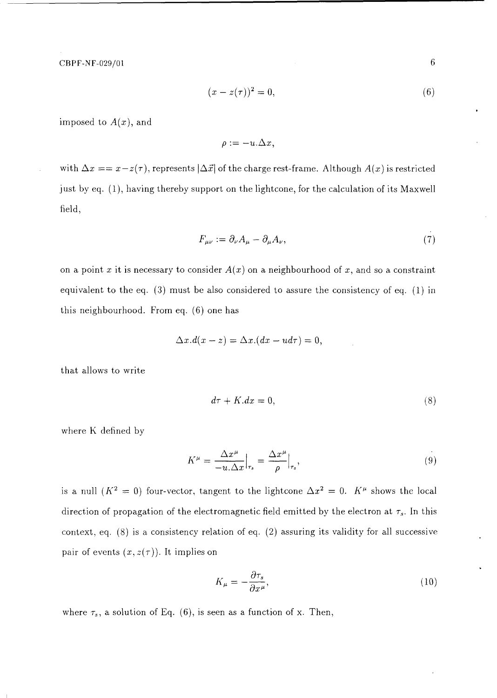CBPF-NF-029/01

$$
(x - z(\tau))^2 = 0,\t\t(6)
$$

imposed to *A(x),* and

$$
\rho := -u.\Delta x,
$$

with  $\Delta x = x - z(\tau)$ , represents  $|\Delta \vec{x}|$  of the charge rest-frame. Although  $A(x)$  is restricted just by eq. (1), having thereby support on the lightcone, for the calculation of its Maxwell field,

$$
F_{\mu\nu} := \partial_{\nu} A_{\mu} - \partial_{\mu} A_{\nu},\tag{7}
$$

on a point x it is necessary to consider  $A(x)$  on a neighbourhood of x, and so a constraint equivalent to the eq. (3) must be also considered to assure the consistency of eq. (1) in this neighbourhood. From eq. (6) one has

$$
\Delta x. d(x-z) = \Delta x.(dx - u d\tau) = 0,
$$

that allows to write

$$
d\tau + K \cdot dx = 0,\tag{8}
$$

where K defined by

$$
K^{\mu} = \frac{\Delta x^{\mu}}{-u \cdot \Delta x}\Big|_{\tau_s} = \frac{\Delta x^{\mu}}{\rho}\Big|_{\tau_s},\tag{9}
$$

is a null  $(K^2 = 0)$  four-vector, tangent to the lightcone  $\Delta x^2 = 0$ .  $K^{\mu}$  shows the local direction of propagation of the electromagnetic field emitted by the electron at  $\tau_s$ . In this context, eq. (8) is a consistency relation of eq. (2) assuring its validity for all successive pair of events  $(x, z(\tau))$ . It implies on

$$
K_{\mu} = -\frac{\partial \tau_s}{\partial x^{\mu}},\tag{10}
$$

where  $\tau_s$ , a solution of Eq. (6), is seen as a function of x. Then,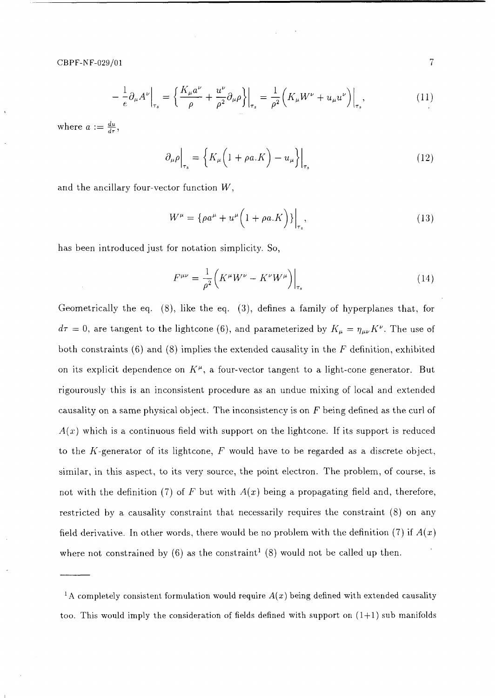$$
-\frac{1}{e}\partial_{\mu}A^{\nu}\Big|_{\tau_s} = \left\{\frac{K_{\mu}a^{\nu}}{\rho} + \frac{u^{\nu}}{\rho^2}\partial_{\mu}\rho\right\}\Big|_{\tau_s} = \frac{1}{\rho^2}\left(K_{\mu}W^{\nu} + u_{\mu}u^{\nu}\right)\Big|_{\tau_s},\tag{11}
$$

where  $a := \frac{du}{dx}$ , *dr* **'**

$$
\partial_{\mu}\rho\Big|_{\tau_{s}} = \left\{K_{\mu}\Big(1+\rho a.K\Big) - u_{\mu}\right\}\Big|_{\tau_{s}}\tag{12}
$$

and the ancillary four-vector function *W,*

$$
W^{\mu} = {\rho a^{\mu} + u^{\mu} \left( 1 + \rho a.K \right) \} \Big|_{\tau_s}, \tag{13}
$$

has been introduced just for notation simplicity. So,

$$
F^{\mu\nu} = \frac{1}{\rho^2} \left( K^{\mu} W^{\nu} - K^{\nu} W^{\mu} \right) \Big|_{\tau_s} \tag{14}
$$

Geometrically the eq. (8), like the eq. (3), defines a family of hyperplanes that, for  $d\tau = 0$ , are tangent to the lightcone (6), and parameterized by  $K_{\mu} = \eta_{\mu\nu}K^{\nu}$ . The use of both constraints (6) and (8) implies the extended causality in the *F* definition, exhibited on its explicit dependence on  $K^{\mu}$ , a four-vector tangent to a light-cone generator. But rigourously this is an inconsistent procedure as an undue mixing of local and extended causality on a same physical object. The inconsistency is on *F* being defined as the curl of  $A(x)$  which is a continuous field with support on the lightcone. If its support is reduced to the A'-generator of its lightcone, *F* would have to be regarded as a discrete object, similar, in this aspect, to its very source, the point electron. The problem, of course, is not with the definition (7) of *F* but with *A(x)* being a propagating field and, therefore, restricted by a causality constraint that necessarily requires the constraint (8) on any field derivative. In other words, there would be no problem with the definition (7) if *A(x)* where not constrained by (6) as the constraint<sup>1</sup> (8) would not be called up then.

 $\overline{7}$ 

<sup>&</sup>lt;sup>1</sup>A completely consistent formulation would require  $A(x)$  being defined with extended causality too. This would imply the consideration of fields defined with support on  $(1+1)$  sub manifolds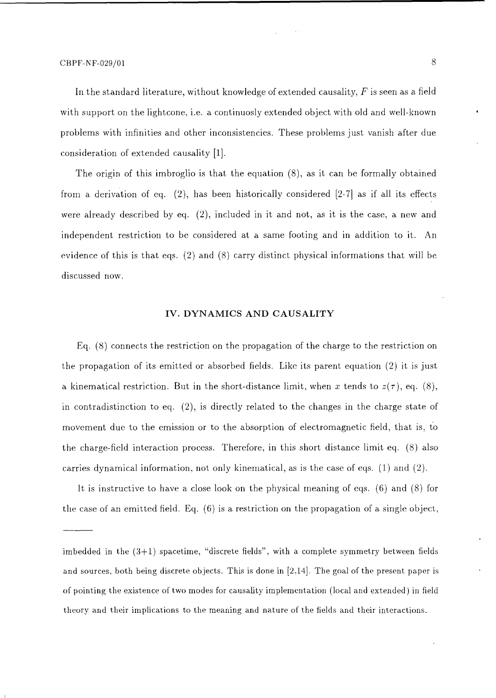In the standard literature, without knowledge of extended causality, *F* is seen as a field with support on the lightcone, i.e. a continuosly extended object with old and well-known problems with infinities and other inconsistencies. These problems just vanish after due consideration of extended causality [1].

The origin of this imbroglio is that the equation (8), as it can be formally obtained from a derivation of eq. (2), has been historically considered [2-7] as if all its effects were already described by eq. (2), included in it and not, as it is the case, a new and independent restriction to be considered at a same footing and in addition to it. An evidence of this is that eqs. (2) and (8) carry distinct physical informations that will be discussed now.

# **IV. DYNAMICS AND CAUSALITY**

Eq. (8) connects the restriction on the propagation of the charge to the restriction on the propagation of its emitted or absorbed fields. Like its parent equation (2) it is just a kinematical restriction. But in the short-distance limit, when x tends to  $z(\tau)$ , eq. (8), in contradistinction to eq. (2), is directly related to the changes in the charge state of movement due to the emission or to the absorption of electromagnetic field, that is, to the charge-field interaction process. Therefore, in this short distance limit eq. (8) also carries dynamical information, not only kinematical, as is the case of eqs. (1) and (2).

It is instructive to have a close look on the physical meaning of eqs. (6) and (8) for the case of an emitted field. Eq. (6) is a restriction on the propagation of a single object,

imbedded in the (3+1) spacetime, "discrete fields", with a complete symmetry between fields and sources, both being discrete objects. This is done in [2,14]. The goal of the present paper is of pointing the existence of two modes for causality implementation (local and extended) in field theory and their implications to the meaning and nature of the fields and their interactions.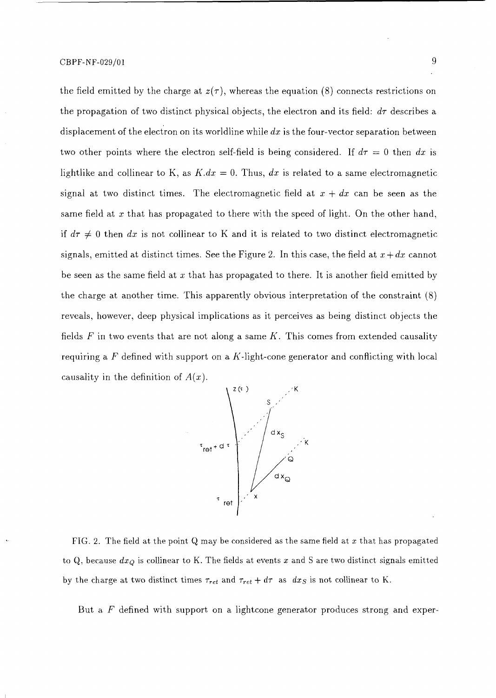the field emitted by the charge at  $z(\tau)$ , whereas the equation (8) connects restrictions on the propagation of two distinct physical objects, the electron and its field:  $d\tau$  describes a displacement of the electron on its worldline while *dx* is the four-vector separation between two other points where the electron self-field is being considered. If  $d\tau = 0$  then dx is lightlike and collinear to K, as  $K$ . $dx = 0$ . Thus,  $dx$  is related to a same electromagnetic signal at two distinct times. The electromagnetic field at  $x + dx$  can be seen as the same field at *x* that has propagated to there with the speed of light. On the other hand, if  $d\tau \neq 0$  then dx is not collinear to K and it is related to two distinct electromagnetic signals, emitted at distinct times. See the Figure 2. In this case, the field at  $x+dx$  cannot be seen as the same field at *x* that has propagated to there. It is another field emitted by the charge at another time. This apparently obvious interpretation of the constraint (8) reveals, however, deep physical implications as it perceives as being distinct objects the fields *F* in two events that are not along a same *K.* This comes from extended causality requiring a F defined with support on a  $K$ -light-cone generator and conflicting with local causality in the definition of *A(x).*



FIG. 2. The field at the point Q may be considered as the same field at *x* that has propagated to Q, because *dxQ* is collinear to K. The fields at events *x* and S are two distinct signals emitted by the charge at two distinct times  $\tau_{ret}$  and  $\tau_{ret} + d\tau$  as  $dx$  is not collinear to K.

But a, *F* defined with support on a lightcone generator produces strong and exper-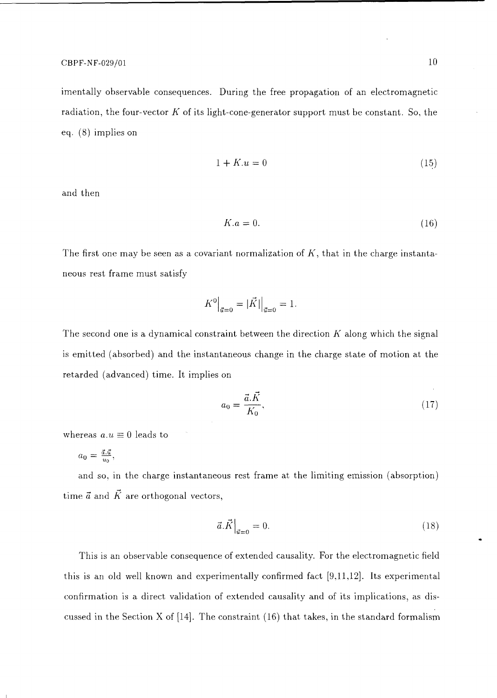## $CBPF-NF-029/01$  10

imentally observable consequences. During the free propagation of an electromagnetic radiation, the four-vector *K* of its light-cone-generator support must be constant. So, the eq. (8) implies on

$$
1 + K \cdot u = 0 \tag{15}
$$

and then

$$
K.a = 0.\t(16)
$$

The first one may be seen as a covariant normalization of *K,* that in the charge instantaneous rest frame must satisfy

$$
K^0\Big|_{\vec{u}=0} = |\vec{K}| \Big|_{\vec{u}=0} = 1.
$$

The second one is a dynamical constraint between the direction *K* along which the signal is emitted (absorbed) and the instantaneous change in the charge state of motion at the retarded (advanced) time. It implies on

$$
a_0 = \frac{\vec{a}.\vec{K}}{K_0},\tag{17}
$$

whereas  $a.u \equiv 0$  leads to

$$
a_0 = \frac{\vec{a}.\vec{u}}{u_0},
$$

and so, in the charge instantaneous rest frame at the limiting emission (absorption) time  $\vec{a}$  and  $\vec{K}$  are orthogonal vectors,

$$
\vec{a}.\vec{K}\Big|_{\vec{a}=0} = 0.\tag{18}
$$

This is an observable consequence of extended causality. For the electromagnetic field this is an old well known and experimentally confirmed fact [9,11,12]. Its experimental confirmation is a direct validation of extended causality and of its implications, as discussed in the Section X of [14]. The constraint (16) that takes, in the standard formalism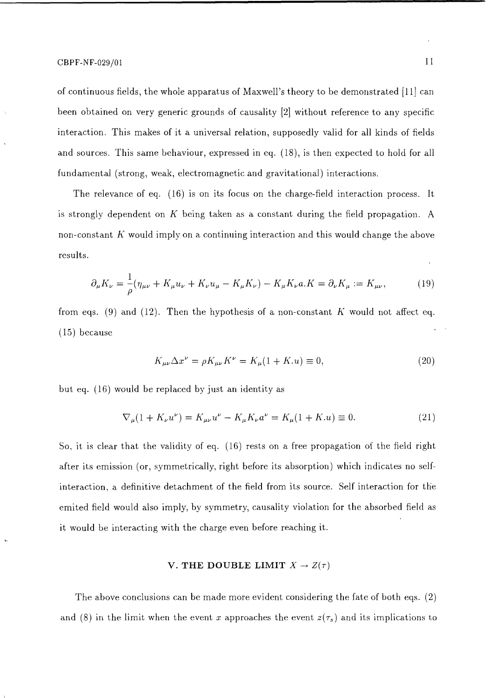of continuous fields, the whole apparatus of Maxwell's theory to be demonstrated [11] can been obtained on very generic grounds of causality [2] without reference to any specific interaction. This makes of it a universal relation, supposedly valid for all kinds of fields and sources. This same behaviour, expressed in eq. (18), is then expected to hold for all fundamental (strong, weak, electromagnetic and gravitational) interactions.

The relevance of eq. (16) is on its focus on the charge-field interaction process. It is strongly dependent on *K* being taken as a constant during the field propagation. A non-constant *K* would imply on a continuing interaction and this would change the above results.

$$
\partial_{\mu} K_{\nu} = \frac{1}{\rho} (\eta_{\mu\nu} + K_{\mu} u_{\nu} + K_{\nu} u_{\mu} - K_{\mu} K_{\nu}) - K_{\mu} K_{\nu} a. K = \partial_{\nu} K_{\mu} := K_{\mu\nu}, \tag{19}
$$

from eqs. (9) and (12). Then the hypothesis of a non-constant *K* would not affect eq. (15) because

$$
K_{\mu\nu}\Delta x^{\nu} = \rho K_{\mu\nu}K^{\nu} = K_{\mu}(1 + K.u) \equiv 0,
$$
\n(20)

but eq. (16) would be replaced by just an identity as

$$
\nabla_{\mu}(1 + K_{\nu}u^{\nu}) = K_{\mu\nu}u^{\nu} - K_{\mu}K_{\nu}a^{\nu} = K_{\mu}(1 + K.u) \equiv 0.
$$
 (21)

So, it is clear that the validity of eq. (16) rests on a free propagation of the field right after its emission (or, symmetrically, right before its absorption) which indicates no selfinteraction, a definitive detachment of the field from its source. Self interaction for the emited field would also imply, by symmetry, causality violation for the absorbed field as it would be interacting with the charge even before reaching it.

# **V. THE DOUBLE LIMIT**  $X \to Z(\tau)$

The above conclusions can be made more evident considering the fate of both eqs. (2) and (8) in the limit when the event x approaches the event  $z(\tau_s)$  and its implications to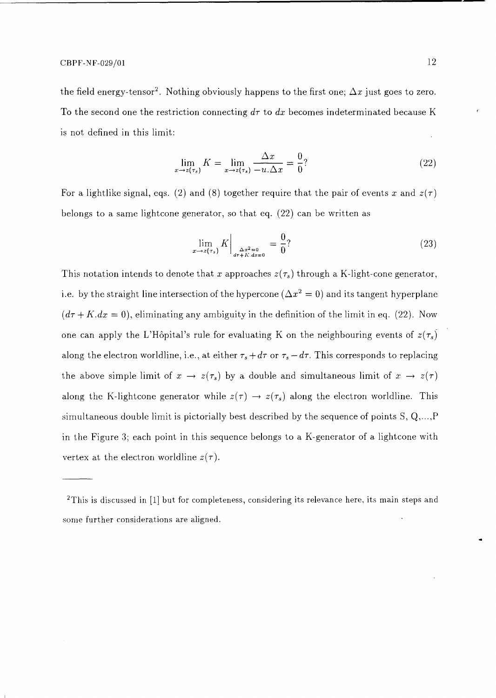the field energy-tensor<sup>2</sup>. Nothing obviously happens to the first one;  $\Delta x$  just goes to zero. To the second one the restriction connecting  $d\tau$  to  $dx$  becomes indeterminated because K is not defined in this limit:

$$
\lim_{x \to z(\tau_s)} K = \lim_{x \to z(\tau_s)} \frac{\Delta x}{-u \cdot \Delta x} = \frac{0}{0}?
$$
\n(22)

For a lightlike signal, eqs. (2) and (8) together require that the pair of events x and  $z(\tau)$ belongs to a same lightcone generator, so that eq. (22) can be written as

$$
\lim_{x \to z(\tau_s)} K \Big|_{\substack{\Delta x^2 = 0 \\ d\tau + K, dx = 0}} = \frac{0}{0} ? \tag{23}
$$

This notation intends to denote that x approaches  $z(\tau_s)$  through a K-light-cone generator, i.e. by the straight line intersection of the hypercone  $(\Delta x^2=0)$  and its tangent hyperplane  $(d\tau + K.dx = 0)$ , eliminating any ambiguity in the definition of the limit in eq. (22). Now one can apply the L'Hôpital's rule for evaluating K on the neighbouring events of  $z(\tau_s)$ along the electron worldline, i.e., at either  $\tau_s + d\tau$  or  $\tau_s - d\tau$ . This corresponds to replacing the above simple limit of  $x \to z(\tau_s)$  by a double and simultaneous limit of  $x \to z(\tau)$ along the K-lightcone generator while  $z(\tau) \to z(\tau_s)$  along the electron worldline. This simultaneous double limit is pictorially best described by the sequence of points S, Q,...,P in the Figure 3; each point in this sequence belongs to a K-generator of a lightcone with vertex at the electron worldline  $z(\tau)$ .

 $2$ This is discussed in [1] but for completeness, considering its relevance here, its main steps and some further considerations are aligned.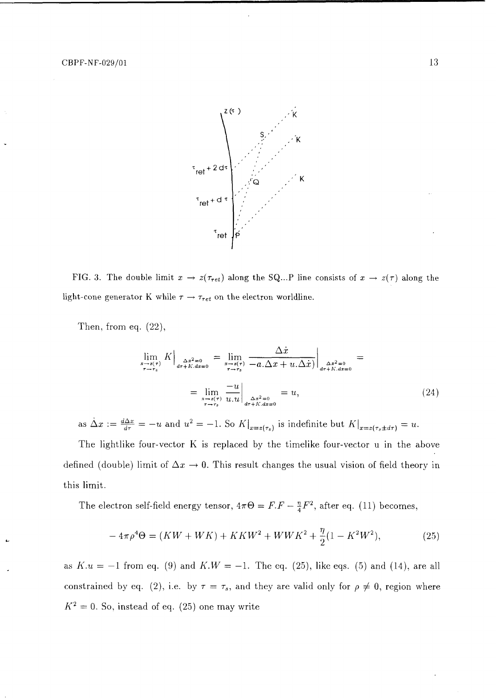

FIG. 3. The double limit  $x \to z(\tau_{ret})$  along the SQ...P line consists of  $x \to z(\tau)$  along the light-cone generator K while  $\tau \rightarrow \tau_{ret}$  on the electron worldline.

Then, from eq. (22),

$$
\lim_{\substack{x \to z(\tau) \\ \tau \to \tau_s}} K\Big|_{\substack{\Delta x^2 = 0 \\ d\tau + K, dx = 0}} = \lim_{\substack{x \to z(\tau) \\ \tau \to \tau_s}} \frac{\Delta x}{-a \cdot \Delta x + u \cdot \Delta x}\Big|_{\substack{\Delta x^2 = 0 \\ d\tau + K, dx = 0}} = \lim_{\substack{x \to z(\tau) \\ \tau \to \tau_s}} \frac{-u}{u \cdot u}\Big|_{\substack{\Delta x^2 = 0 \\ d\tau + K, dx = 0}} = u,
$$
\n(24)

as  $\dot{\Delta}x := \frac{d\Delta x}{d\tau} = -u$  and  $u^2 = -1$ . So  $K\vert_{x=z(\tau_s)}$  is indefinite but  $K\vert_{x=z(\tau_s \pm d\tau)} = u$ .

The lightlike four-vector K is replaced by the timelike four-vector u in the above defined (double) limit of  $\Delta x \rightarrow 0$ . This result changes the usual vision of field theory in this limit.

The electron self-field energy tensor,  $4\pi\Theta = F.F - \frac{\eta}{4}F^2$ , after eq. (11) becomes,

$$
-4\pi \rho^4 \Theta = (KW + WK) + KKW^2 + WWK^2 + \frac{\eta}{2}(1 - K^2W^2), \tag{25}
$$

as  $K.u = -1$  from eq. (9) and  $K.W = -1$ . The eq. (25), like eqs. (5) and (14), are all constrained by eq. (2), i.e. by  $\tau = \tau_s$ , and they are valid only for  $\rho \neq 0$ , region where  $K^2 = 0$ . So, instead of eq. (25) one may write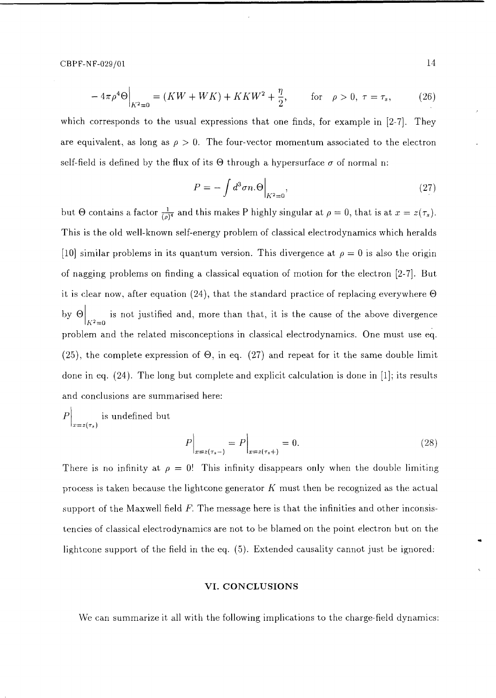$CBPF-NF-029/01$  14

$$
-4\pi \rho^4 \Theta \Big|_{K^2=0} = (KW + WK) + KKW^2 + \frac{\eta}{2}, \qquad \text{for} \quad \rho > 0, \ \tau = \tau_s, \tag{26}
$$

which corresponds to the usual expressions that one finds, for example in [2-7]. They are equivalent, as long as  $\rho > 0$ . The four-vector momentum associated to the electron self-field is defined by the flux of its  $\Theta$  through a hypersurface  $\sigma$  of normal n:

$$
P = -\int d^3 \sigma n.\Theta \Big|_{K^2 = 0},\tag{27}
$$

but  $\Theta$  contains a factor  $\frac{1}{(\rho)^4}$  and this makes P highly singular at  $\rho = 0$ , that is at  $x = z(\tau_s)$ . This is the old well-known self-energy problem of classical electrodynamics which heralds [10] similar problems in its quantum version. This divergence at  $\rho = 0$  is also the origin of nagging problems on finding a classical equation of motion for the electron [2-7]. But it is clear now, after equation (24), that the standard practice of replacing everywhere  $\Theta$ by  $\Theta$  is not justified and, more than that, it is the cause of the above divergence *K 2 =0* problem and the related misconceptions in classical electrodynamics. One must use eq. (25), the complete expression of  $\Theta$ , in eq. (27) and repeat for it the same double limit done in eq. (24). The long but complete and explicit calculation is done in [1]; its results and conclusions are summarised here:

 $\left|P\right|$  is undefined but  $\overline{x} = z(\tau_s)$ 

$$
P\Big|_{x=z(\tau_s-)} = P\Big|_{x=z(\tau_s+)} = 0.
$$
\n(28)

There is no infinity at  $\rho = 0!$  This infinity disappears only when the double limiting process is taken because the lightcone generator *K* must then be recognized as the actual support of the Maxwell field *F.* The message here is that the infinities and other inconsistencies of classical electrodynamics are not to be blamed on the point electron but on the lightcone support of the field in the eq. (5). Extended causality cannot just be ignored:

#### **VI. CONCLUSIONS**

We can summarize it all with the following implications to the charge-field dynamics: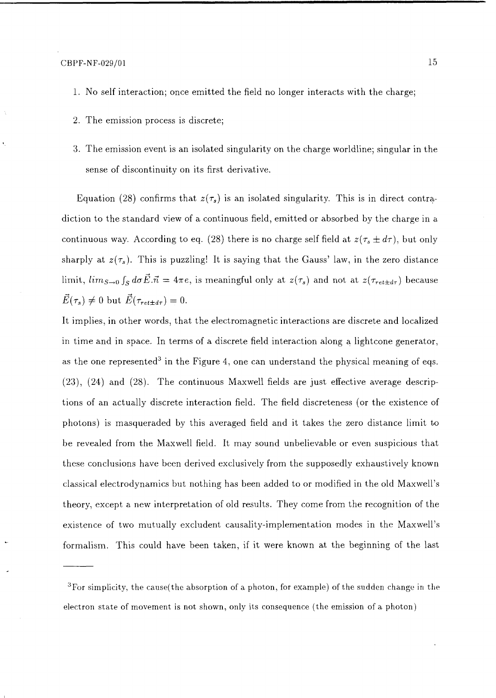- 1. No self interaction; once emitted the field no longer interacts with the charge;
- 2. The emission process is discrete;
- 3. The emission event is an isolated singularity on the charge worldline; singular in the sense of discontinuity on its first derivative.

Equation (28) confirms that  $z(\tau_s)$  is an isolated singularity. This is in direct contradiction to the standard view of a continuous field, emitted or absorbed by the charge in a continuous way. According to eq. (28) there is no charge self field at  $z(\tau_s \pm d\tau)$ , but only sharply at  $z(\tau_s)$ . This is puzzling! It is saying that the Gauss' law, in the zero distance limit,  $\lim_{S\to 0} \int_S d\sigma \vec{E} \cdot \vec{n} = 4\pi e$ , is meaningful only at  $z(\tau_s)$  and not at  $z(\tau_{ret \pm d\tau})$  because  $\vec{E}(\tau_s) \neq 0$  but  $\vec{E}(\tau_{ret \pm d\tau}) = 0$ .

It implies, in other words, that the electromagnetic interactions are discrete and localized in time and in space. In terms of a discrete field interaction along a lightcone generator, as the one represented<sup>3</sup> in the Figure 4, one can understand the physical meaning of eqs. (23), (24) and (28). The continuous Maxwell fields are just effective average descriptions of an actually discrete interaction field. The field discreteness (or the existence of photons) is masqueraded by this averaged field and it takes the zero distance limit to be revealed from the Maxwell field. It may sound unbelievable or even suspicious that these conclusions have been derived exclusively from the supposedly exhaustively known classical electrodynamics but nothing has been added to or modified in the old Maxwell's theory, except a new interpretation of old results. They come from the recognition of the existence of two mutually excludent causality-implementation modes in the Maxwell's formalism. This could have been taken, if it were known at the beginning of the last

 $^3\rm{For\ simplicity,\ the\ cause}$  (the absorption of a photon, for example) of the sudden change in the electron state of movement is not shown, only its consequence (the emission of a photon)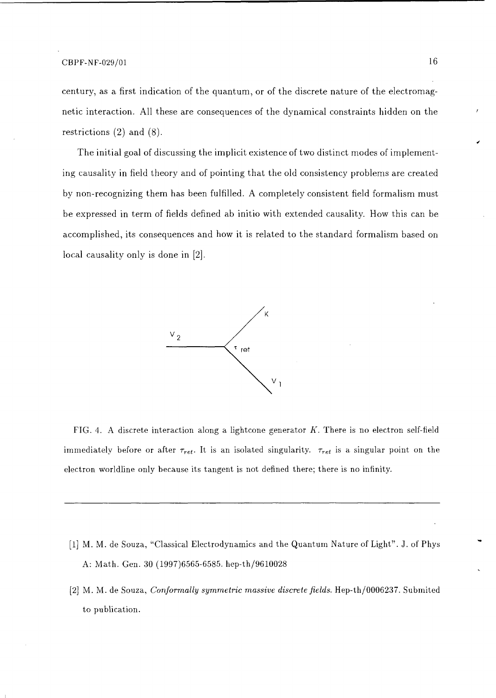century, as a first indication of the quantum, or of the discrete nature of the electromagnetic interaction. All these are consequences of the dynamical constraints hidden on the restrictions (2) and (8).

The initial goal of discussing the implicit existence of two distinct modes of implementing causality in field theory and of pointing that the old consistency problems are created by non-recognizing them has been fulfilled. A completely consistent field formalism must be expressed in term of fields defined ab initio with extended causality. How this can be accomplished, its consequences and how it is related to the standard formalism based on local causality only is done in [2].



FIG. 4. A discrete interaction along a lightcone generator *K.* There is no electron self-field immediately before or after  $\tau_{ret}$ . It is an isolated singularity.  $\tau_{ret}$  is a singular point on the electron worldline only because its tangent is not defined there; there is no infinity.

- [1] M. M. de Souza, "Classical Electrodynamics and the Quantum Nature of Light". J. of Phys A: Math. Gen. 30 (1997)6565-6585. hep-th/9610028
- [2] M. M. de Souza, *Conformally symmetric massive discrete fields.* Hep-th/0006237. Submited to publication.